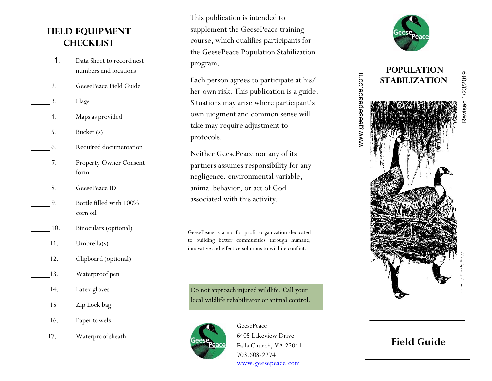# **Field Equipment Checklist**

- 1. Data Sheet to record nest numbers and locations
- 2. GeesePeace Field Guide
- 1. Flags
- 4. Maps as provided
- 5. Bucket (s)
- 6. Required documentation
- 7. Property Owner Consent form
- 8. GeesePeace ID
- 9. Bottle filled with 100% corn oil
- 10. Binoculars (optional)
- 11. Umbrella(s)
- 12. Clipboard (optional)
- 13. Waterproof pen
- 14. Latex gloves
- 15 Zip Lock bag
- 16. Paper towels
	- 17. Waterproof sheath

This publication is intended to supplement the GeesePeace training course, which qualifies participants for the GeesePeace Population Stabilization program.

Each person agrees to participate at his/ her own risk. This publication is a guide. Situations may arise where participant's own judgment and common sense will take may require adjustment to protocols.

Neither GeesePeace nor any of its partners assumes responsibility for any negligence, environmental variable, animal behavior, or act of God associated with this activity.

GeesePeace is a not -for -profit organization dedicated to building better communities through humane, innovative and effective solutions to wildlife conflict.

Do not approach injured wildlife. Call your local wildlife rehabilitator or animal control.



GeesePeace 640 5 Lakeview Drive Falls Church, VA 22041 703.608 -2274 www.geesepeace.com